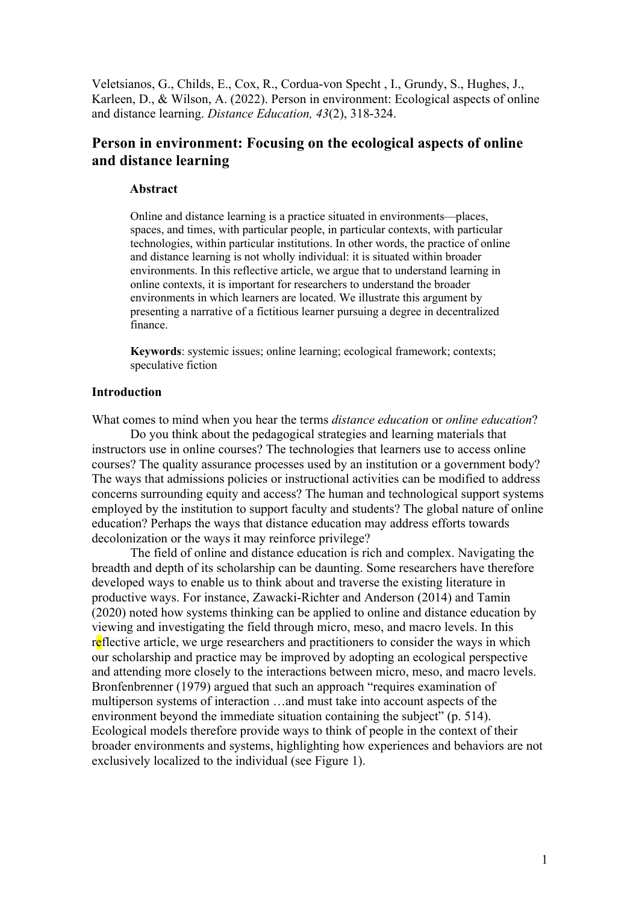Veletsianos, G., Childs, E., Cox, R., Cordua-von Specht , I., Grundy, S., Hughes, J., Karleen, D., & Wilson, A. (2022). Person in environment: Ecological aspects of online and distance learning. *Distance Education, 43*(2), 318-324.

# **Person in environment: Focusing on the ecological aspects of online and distance learning**

#### **Abstract**

Online and distance learning is a practice situated in environments—places, spaces, and times, with particular people, in particular contexts, with particular technologies, within particular institutions. In other words, the practice of online and distance learning is not wholly individual: it is situated within broader environments. In this reflective article, we argue that to understand learning in online contexts, it is important for researchers to understand the broader environments in which learners are located. We illustrate this argument by presenting a narrative of a fictitious learner pursuing a degree in decentralized finance.

**Keywords**: systemic issues; online learning; ecological framework; contexts; speculative fiction

#### **Introduction**

What comes to mind when you hear the terms *distance education* or *online education*?

Do you think about the pedagogical strategies and learning materials that instructors use in online courses? The technologies that learners use to access online courses? The quality assurance processes used by an institution or a government body? The ways that admissions policies or instructional activities can be modified to address concerns surrounding equity and access? The human and technological support systems employed by the institution to support faculty and students? The global nature of online education? Perhaps the ways that distance education may address efforts towards decolonization or the ways it may reinforce privilege?

The field of online and distance education is rich and complex. Navigating the breadth and depth of its scholarship can be daunting. Some researchers have therefore developed ways to enable us to think about and traverse the existing literature in productive ways. For instance, Zawacki-Richter and Anderson (2014) and Tamin (2020) noted how systems thinking can be applied to online and distance education by viewing and investigating the field through micro, meso, and macro levels. In this reflective article, we urge researchers and practitioners to consider the ways in which our scholarship and practice may be improved by adopting an ecological perspective and attending more closely to the interactions between micro, meso, and macro levels. Bronfenbrenner (1979) argued that such an approach "requires examination of multiperson systems of interaction …and must take into account aspects of the environment beyond the immediate situation containing the subject" (p. 514). Ecological models therefore provide ways to think of people in the context of their broader environments and systems, highlighting how experiences and behaviors are not exclusively localized to the individual (see Figure 1).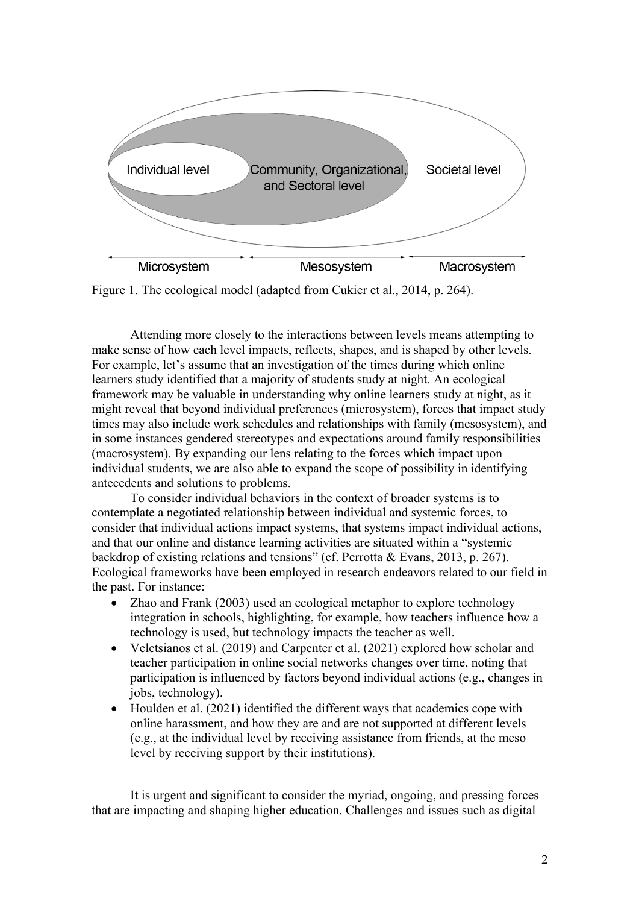

Figure 1. The ecological model (adapted from Cukier et al., 2014, p. 264).

Attending more closely to the interactions between levels means attempting to make sense of how each level impacts, reflects, shapes, and is shaped by other levels. For example, let's assume that an investigation of the times during which online learners study identified that a majority of students study at night. An ecological framework may be valuable in understanding why online learners study at night, as it might reveal that beyond individual preferences (microsystem), forces that impact study times may also include work schedules and relationships with family (mesosystem), and in some instances gendered stereotypes and expectations around family responsibilities (macrosystem). By expanding our lens relating to the forces which impact upon individual students, we are also able to expand the scope of possibility in identifying antecedents and solutions to problems.

To consider individual behaviors in the context of broader systems is to contemplate a negotiated relationship between individual and systemic forces, to consider that individual actions impact systems, that systems impact individual actions, and that our online and distance learning activities are situated within a "systemic backdrop of existing relations and tensions" (cf. Perrotta & Evans, 2013, p. 267). Ecological frameworks have been employed in research endeavors related to our field in the past. For instance:

- Zhao and Frank (2003) used an ecological metaphor to explore technology integration in schools, highlighting, for example, how teachers influence how a technology is used, but technology impacts the teacher as well.
- Veletsianos et al. (2019) and Carpenter et al. (2021) explored how scholar and teacher participation in online social networks changes over time, noting that participation is influenced by factors beyond individual actions (e.g., changes in jobs, technology).
- Houlden et al. (2021) identified the different ways that academics cope with online harassment, and how they are and are not supported at different levels (e.g., at the individual level by receiving assistance from friends, at the meso level by receiving support by their institutions).

It is urgent and significant to consider the myriad, ongoing, and pressing forces that are impacting and shaping higher education. Challenges and issues such as digital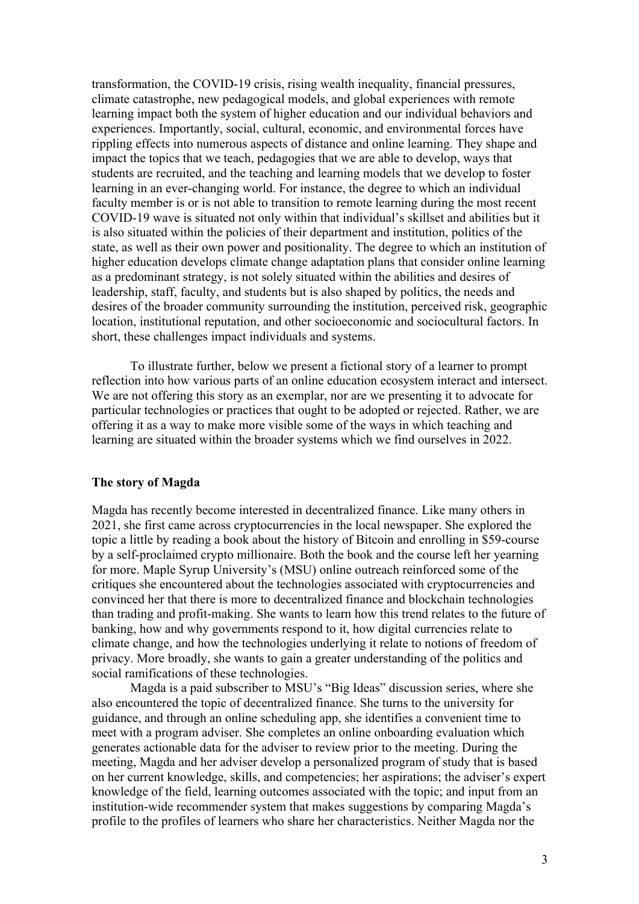transformation, the COVID-19 crisis, rising wealth inequality, financial pressures, climate catastrophe, new pedagogical models, and global experiences with remote learning impact both the system of higher education and our individual behaviors and experiences. Importantly, social, cultural, economic, and environmental forces have rippling effects into numerous aspects of distance and online learning. They shape and impact the topics that we teach, pedagogies that we are able to develop, ways that students are recruited, and the teaching and learning models that we develop to foster learning in an ever-changing world. For instance, the degree to which an individual faculty member is or is not able to transition to remote learning during the most recent COVID-19 wave is situated not only within that individual's skillset and abilities but it is also situated within the policies of their department and institution, politics of the state, as well as their own power and positionality. The degree to which an institution of higher education develops climate change adaptation plans that consider online learning as a predominant strategy, is not solely situated within the abilities and desires of leadership, staff, faculty, and students but is also shaped by politics, the needs and desires of the broader community surrounding the institution, perceived risk, geographic location, institutional reputation, and other socioeconomic and sociocultural factors. In short, these challenges impact individuals and systems.

To illustrate further, below we present a fictional story of a learner to prompt reflection into how various parts of an online education ecosystem interact and intersect. We are not offering this story as an exemplar, nor are we presenting it to advocate for particular technologies or practices that ought to be adopted or rejected. Rather, we are offering it as a way to make more visible some of the ways in which teaching and learning are situated within the broader systems which we find ourselves in 2022.

#### **The story of Magda**

Magda has recently become interested in decentralized finance. Like many others in 2021, she first came across cryptocurrencies in the local newspaper. She explored the topic a little by reading a book about the history of Bitcoin and enrolling in \$59-course by a self-proclaimed crypto millionaire. Both the book and the course left her yearning for more. Maple Syrup University's (MSU) online outreach reinforced some of the critiques she encountered about the technologies associated with cryptocurrencies and convinced her that there is more to decentralized finance and blockchain technologies than trading and profit-making. She wants to learn how this trend relates to the future of banking, how and why governments respond to it, how digital currencies relate to climate change, and how the technologies underlying it relate to notions of freedom of privacy. More broadly, she wants to gain a greater understanding of the politics and social ramifications of these technologies.

Magda is a paid subscriber to MSU's "Big Ideas" discussion series, where she also encountered the topic of decentralized finance. She turns to the university for guidance, and through an online scheduling app, she identifies a convenient time to meet with a program adviser. She completes an online onboarding evaluation which generates actionable data for the adviser to review prior to the meeting. During the meeting, Magda and her adviser develop a personalized program of study that is based on her current knowledge, skills, and competencies; her aspirations; the adviser's expert knowledge of the field, learning outcomes associated with the topic; and input from an institution-wide recommender system that makes suggestions by comparing Magda's profile to the profiles of learners who share her characteristics. Neither Magda nor the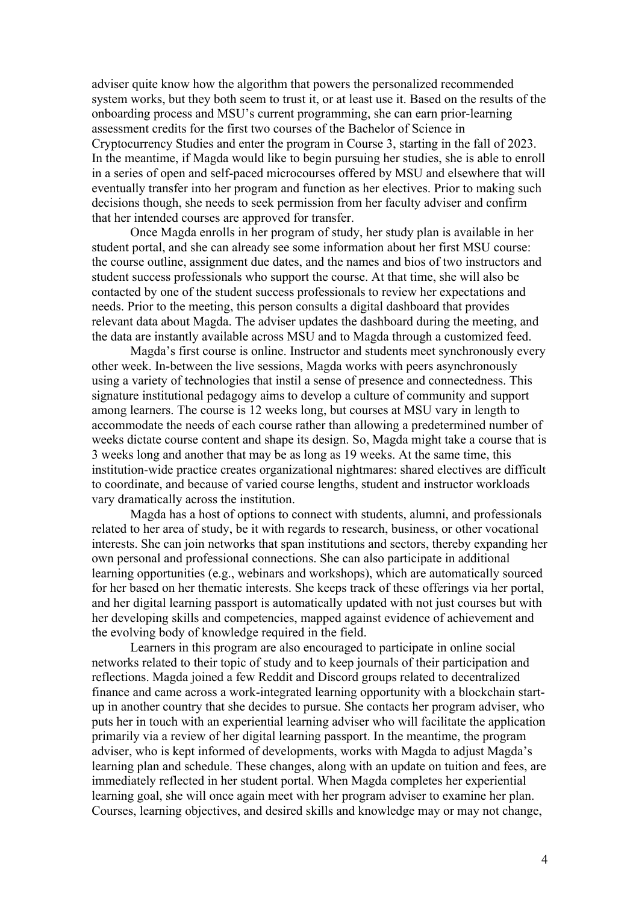adviser quite know how the algorithm that powers the personalized recommended system works, but they both seem to trust it, or at least use it. Based on the results of the onboarding process and MSU's current programming, she can earn prior-learning assessment credits for the first two courses of the Bachelor of Science in Cryptocurrency Studies and enter the program in Course 3, starting in the fall of 2023. In the meantime, if Magda would like to begin pursuing her studies, she is able to enroll in a series of open and self-paced microcourses offered by MSU and elsewhere that will eventually transfer into her program and function as her electives. Prior to making such decisions though, she needs to seek permission from her faculty adviser and confirm that her intended courses are approved for transfer.

Once Magda enrolls in her program of study, her study plan is available in her student portal, and she can already see some information about her first MSU course: the course outline, assignment due dates, and the names and bios of two instructors and student success professionals who support the course. At that time, she will also be contacted by one of the student success professionals to review her expectations and needs. Prior to the meeting, this person consults a digital dashboard that provides relevant data about Magda. The adviser updates the dashboard during the meeting, and the data are instantly available across MSU and to Magda through a customized feed.

Magda's first course is online. Instructor and students meet synchronously every other week. In-between the live sessions, Magda works with peers asynchronously using a variety of technologies that instil a sense of presence and connectedness. This signature institutional pedagogy aims to develop a culture of community and support among learners. The course is 12 weeks long, but courses at MSU vary in length to accommodate the needs of each course rather than allowing a predetermined number of weeks dictate course content and shape its design. So, Magda might take a course that is 3 weeks long and another that may be as long as 19 weeks. At the same time, this institution-wide practice creates organizational nightmares: shared electives are difficult to coordinate, and because of varied course lengths, student and instructor workloads vary dramatically across the institution.

Magda has a host of options to connect with students, alumni, and professionals related to her area of study, be it with regards to research, business, or other vocational interests. She can join networks that span institutions and sectors, thereby expanding her own personal and professional connections. She can also participate in additional learning opportunities (e.g., webinars and workshops), which are automatically sourced for her based on her thematic interests. She keeps track of these offerings via her portal, and her digital learning passport is automatically updated with not just courses but with her developing skills and competencies, mapped against evidence of achievement and the evolving body of knowledge required in the field.

Learners in this program are also encouraged to participate in online social networks related to their topic of study and to keep journals of their participation and reflections. Magda joined a few Reddit and Discord groups related to decentralized finance and came across a work-integrated learning opportunity with a blockchain startup in another country that she decides to pursue. She contacts her program adviser, who puts her in touch with an experiential learning adviser who will facilitate the application primarily via a review of her digital learning passport. In the meantime, the program adviser, who is kept informed of developments, works with Magda to adjust Magda's learning plan and schedule. These changes, along with an update on tuition and fees, are immediately reflected in her student portal. When Magda completes her experiential learning goal, she will once again meet with her program adviser to examine her plan. Courses, learning objectives, and desired skills and knowledge may or may not change,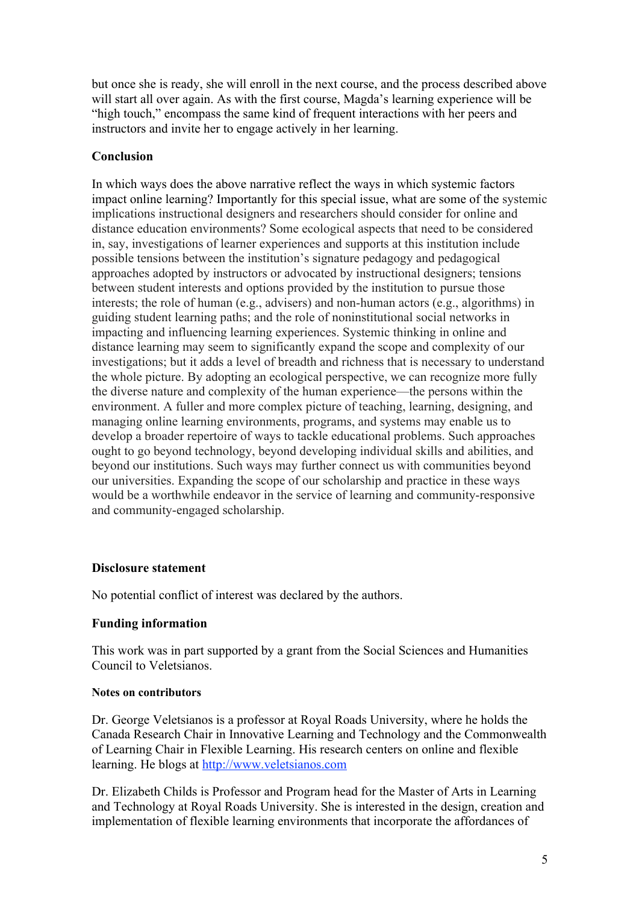but once she is ready, she will enroll in the next course, and the process described above will start all over again. As with the first course, Magda's learning experience will be "high touch," encompass the same kind of frequent interactions with her peers and instructors and invite her to engage actively in her learning.

## **Conclusion**

In which ways does the above narrative reflect the ways in which systemic factors impact online learning? Importantly for this special issue, what are some of the systemic implications instructional designers and researchers should consider for online and distance education environments? Some ecological aspects that need to be considered in, say, investigations of learner experiences and supports at this institution include possible tensions between the institution's signature pedagogy and pedagogical approaches adopted by instructors or advocated by instructional designers; tensions between student interests and options provided by the institution to pursue those interests; the role of human (e.g., advisers) and non-human actors (e.g., algorithms) in guiding student learning paths; and the role of noninstitutional social networks in impacting and influencing learning experiences. Systemic thinking in online and distance learning may seem to significantly expand the scope and complexity of our investigations; but it adds a level of breadth and richness that is necessary to understand the whole picture. By adopting an ecological perspective, we can recognize more fully the diverse nature and complexity of the human experience—the persons within the environment. A fuller and more complex picture of teaching, learning, designing, and managing online learning environments, programs, and systems may enable us to develop a broader repertoire of ways to tackle educational problems. Such approaches ought to go beyond technology, beyond developing individual skills and abilities, and beyond our institutions. Such ways may further connect us with communities beyond our universities. Expanding the scope of our scholarship and practice in these ways would be a worthwhile endeavor in the service of learning and community-responsive and community-engaged scholarship.

### **Disclosure statement**

No potential conflict of interest was declared by the authors.

### **Funding information**

This work was in part supported by a grant from the Social Sciences and Humanities Council to Veletsianos.

#### **Notes on contributors**

Dr. George Veletsianos is a professor at Royal Roads University, where he holds the Canada Research Chair in Innovative Learning and Technology and the Commonwealth of Learning Chair in Flexible Learning. His research centers on online and flexible learning. He blogs at http://www.veletsianos.com

Dr. Elizabeth Childs is Professor and Program head for the Master of Arts in Learning and Technology at Royal Roads University. She is interested in the design, creation and implementation of flexible learning environments that incorporate the affordances of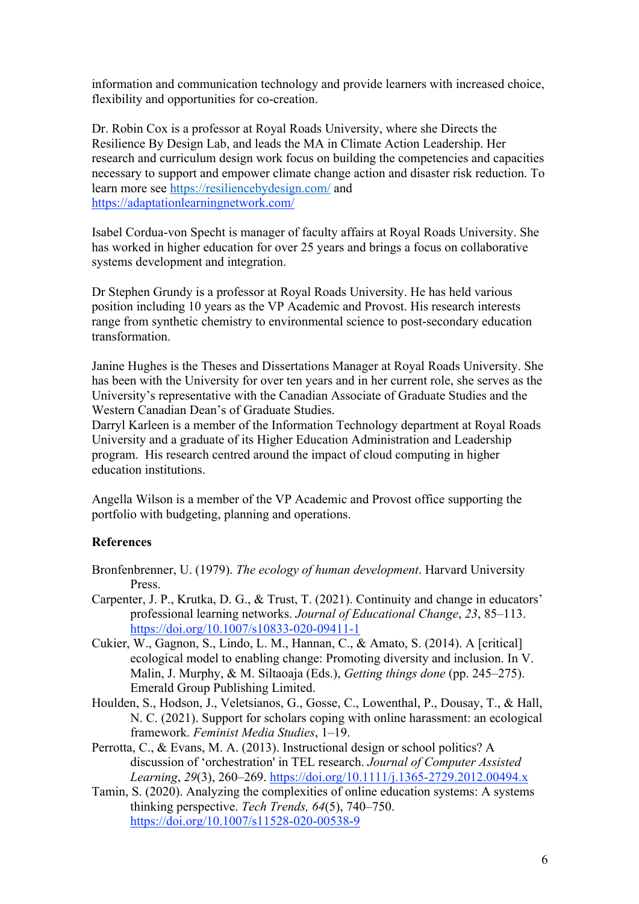information and communication technology and provide learners with increased choice, flexibility and opportunities for co-creation.

Dr. Robin Cox is a professor at Royal Roads University, where she Directs the Resilience By Design Lab, and leads the MA in Climate Action Leadership. Her research and curriculum design work focus on building the competencies and capacities necessary to support and empower climate change action and disaster risk reduction. To learn more see https://resiliencebydesign.com/ and https://adaptationlearningnetwork.com/

Isabel Cordua-von Specht is manager of faculty affairs at Royal Roads University. She has worked in higher education for over 25 years and brings a focus on collaborative systems development and integration.

Dr Stephen Grundy is a professor at Royal Roads University. He has held various position including 10 years as the VP Academic and Provost. His research interests range from synthetic chemistry to environmental science to post-secondary education transformation.

Janine Hughes is the Theses and Dissertations Manager at Royal Roads University. She has been with the University for over ten years and in her current role, she serves as the University's representative with the Canadian Associate of Graduate Studies and the Western Canadian Dean's of Graduate Studies.

Darryl Karleen is a member of the Information Technology department at Royal Roads University and a graduate of its Higher Education Administration and Leadership program. His research centred around the impact of cloud computing in higher education institutions.

Angella Wilson is a member of the VP Academic and Provost office supporting the portfolio with budgeting, planning and operations.

### **References**

- Bronfenbrenner, U. (1979). *The ecology of human development*. Harvard University Press.
- Carpenter, J. P., Krutka, D. G., & Trust, T. (2021). Continuity and change in educators' professional learning networks. *Journal of Educational Change*, *23*, 85–113. https://doi.org/10.1007/s10833-020-09411-1
- Cukier, W., Gagnon, S., Lindo, L. M., Hannan, C., & Amato, S. (2014). A [critical] ecological model to enabling change: Promoting diversity and inclusion. In V. Malin, J. Murphy, & M. Siltaoaja (Eds.), *Getting things done* (pp. 245–275). Emerald Group Publishing Limited.
- Houlden, S., Hodson, J., Veletsianos, G., Gosse, C., Lowenthal, P., Dousay, T., & Hall, N. C. (2021). Support for scholars coping with online harassment: an ecological framework. *Feminist Media Studies*, 1–19.
- Perrotta, C., & Evans, M. A. (2013). Instructional design or school politics? A discussion of 'orchestration' in TEL research. *Journal of Computer Assisted Learning*, *29*(3), 260–269. https://doi.org/10.1111/j.1365-2729.2012.00494.x
- Tamin, S. (2020). Analyzing the complexities of online education systems: A systems thinking perspective. *Tech Trends, 64*(5), 740–750. https://doi.org/10.1007/s11528-020-00538-9